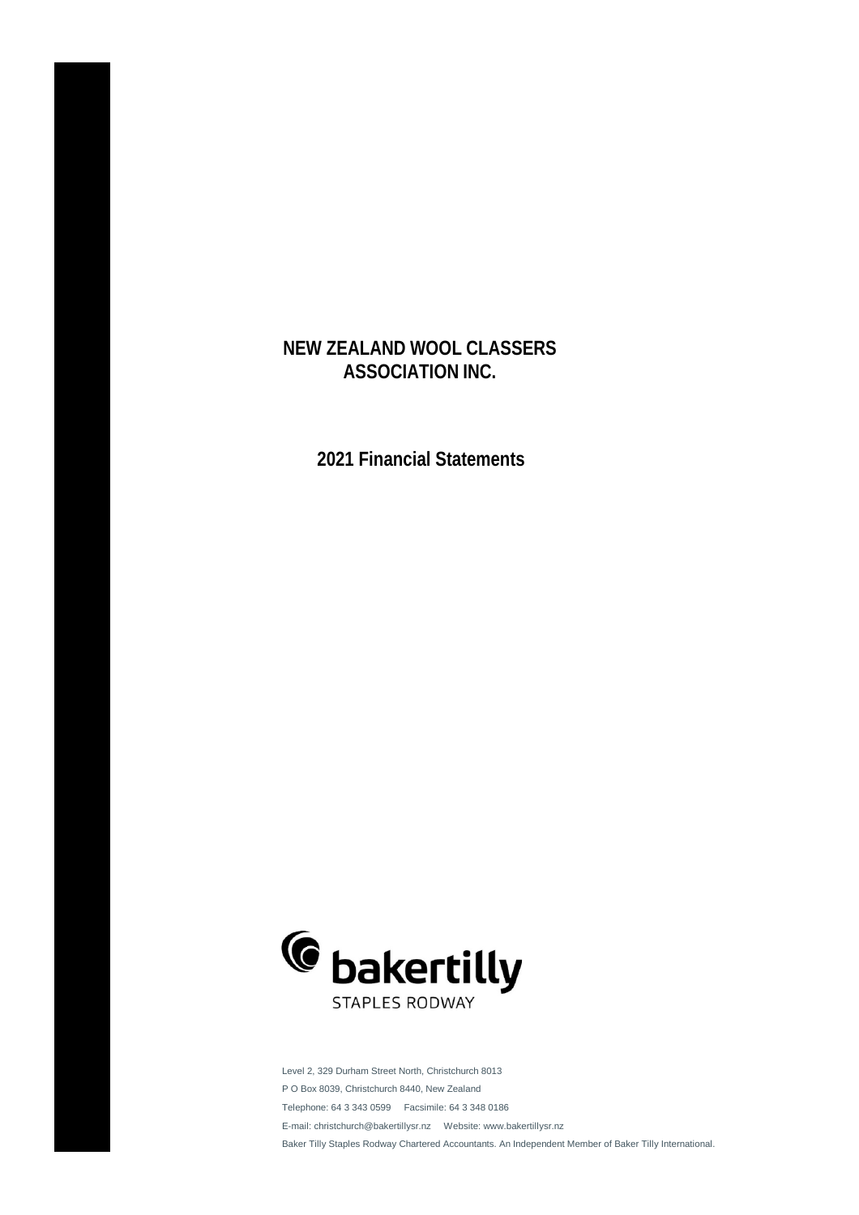**2021 Financial Statements**



Level 2, 329 Durham Street North, Christchurch 8013 P O Box 8039, Christchurch 8440, New Zealand Telephone: 64 3 343 0599 Facsimile: 64 3 348 0186 E-mail: christchurch@bakertillysr.nz Website: www.bakertillysr.nz Baker Tilly Staples Rodway Chartered Accountants. An Independent Member of Baker Tilly International.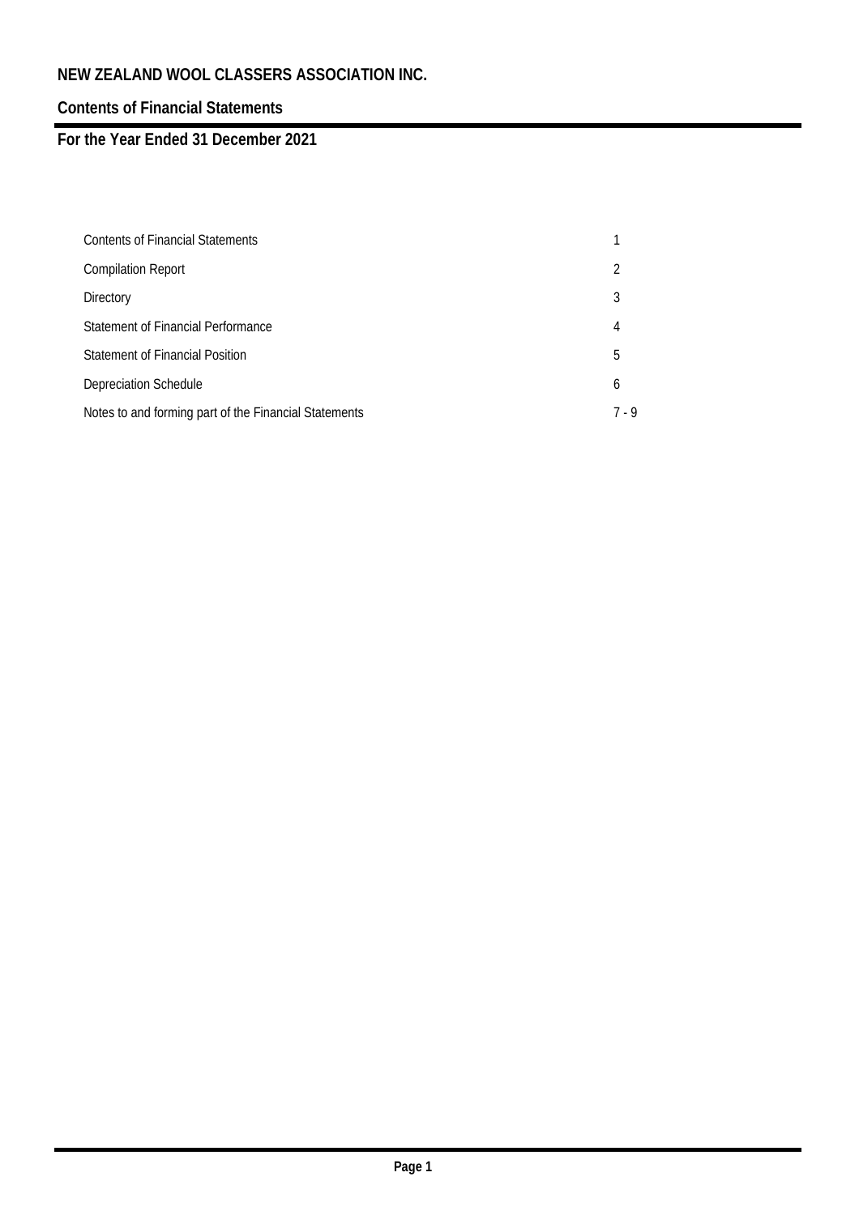# **Contents of Financial Statements**

# **For the Year Ended 31 December 2021**

| <b>Contents of Financial Statements</b>               |     |
|-------------------------------------------------------|-----|
| <b>Compilation Report</b>                             | 2   |
| Directory                                             | 3   |
| Statement of Financial Performance                    | 4   |
| <b>Statement of Financial Position</b>                | 5   |
| <b>Depreciation Schedule</b>                          | 6   |
| Notes to and forming part of the Financial Statements | 7.9 |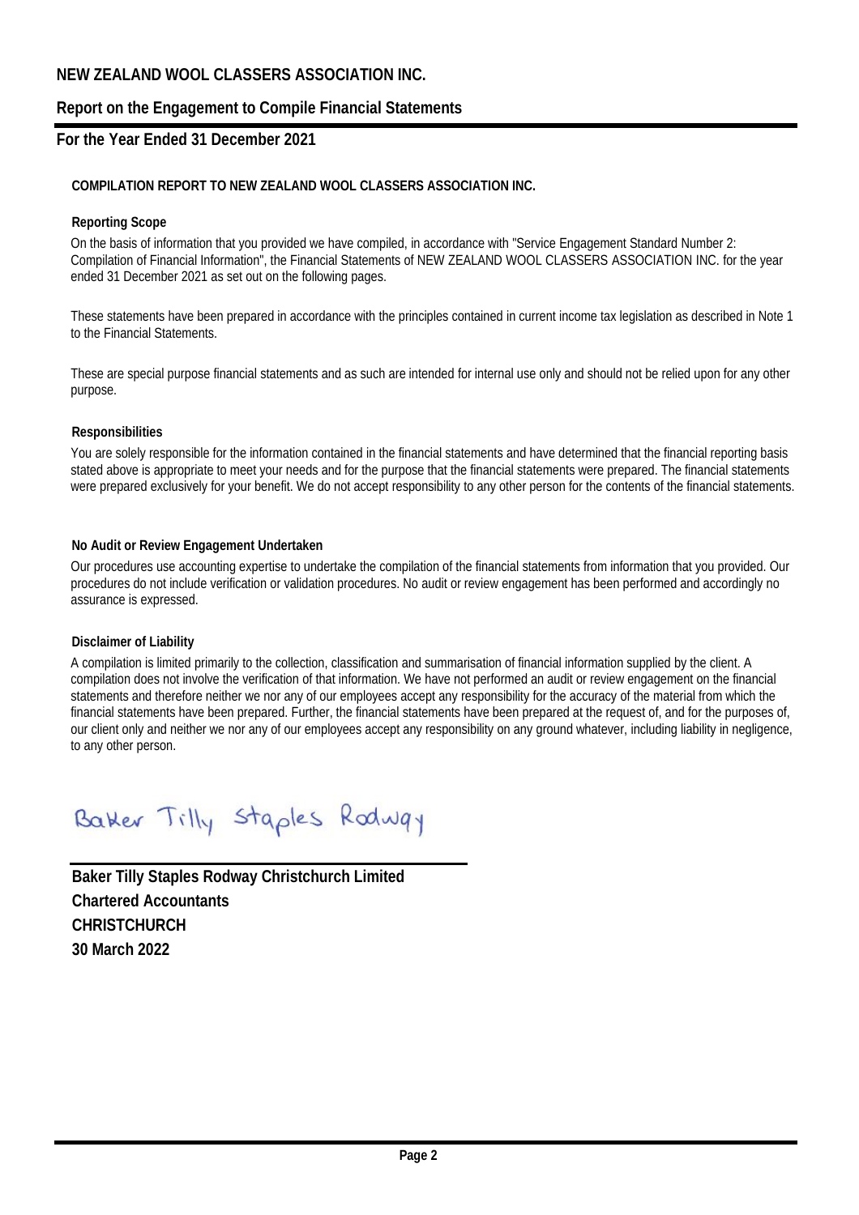### **Report on the Engagement to Compile Financial Statements**

### **For the Year Ended 31 December 2021**

### **COMPILATION REPORT TO NEW ZEALAND WOOL CLASSERS ASSOCIATION INC.**

#### **Reporting Scope**

On the basis of information that you provided we have compiled, in accordance with "Service Engagement Standard Number 2: Compilation of Financial Information", the Financial Statements of NEW ZEALAND WOOL CLASSERS ASSOCIATION INC. for the year ended 31 December 2021 as set out on the following pages.

These statements have been prepared in accordance with the principles contained in current income tax legislation as described in Note 1 to the Financial Statements.

These are special purpose financial statements and as such are intended for internal use only and should not be relied upon for any other purpose.

#### **Responsibilities**

You are solely responsible for the information contained in the financial statements and have determined that the financial reporting basis stated above is appropriate to meet your needs and for the purpose that the financial statements were prepared. The financial statements were prepared exclusively for your benefit. We do not accept responsibility to any other person for the contents of the financial statements.

#### **No Audit or Review Engagement Undertaken**

Our procedures use accounting expertise to undertake the compilation of the financial statements from information that you provided. Our procedures do not include verification or validation procedures. No audit or review engagement has been performed and accordingly no assurance is expressed.

#### **Disclaimer of Liability**

A compilation is limited primarily to the collection, classification and summarisation of financial information supplied by the client. A compilation does not involve the verification of that information. We have not performed an audit or review engagement on the financial statements and therefore neither we nor any of our employees accept any responsibility for the accuracy of the material from which the financial statements have been prepared. Further, the financial statements have been prepared at the request of, and for the purposes of, our client only and neither we nor any of our employees accept any responsibility on any ground whatever, including liability in negligence, to any other person.

Batter Tilly Staples Rodway

**Baker Tilly Staples Rodway Christchurch Limited Chartered Accountants CHRISTCHURCH 30 March 2022**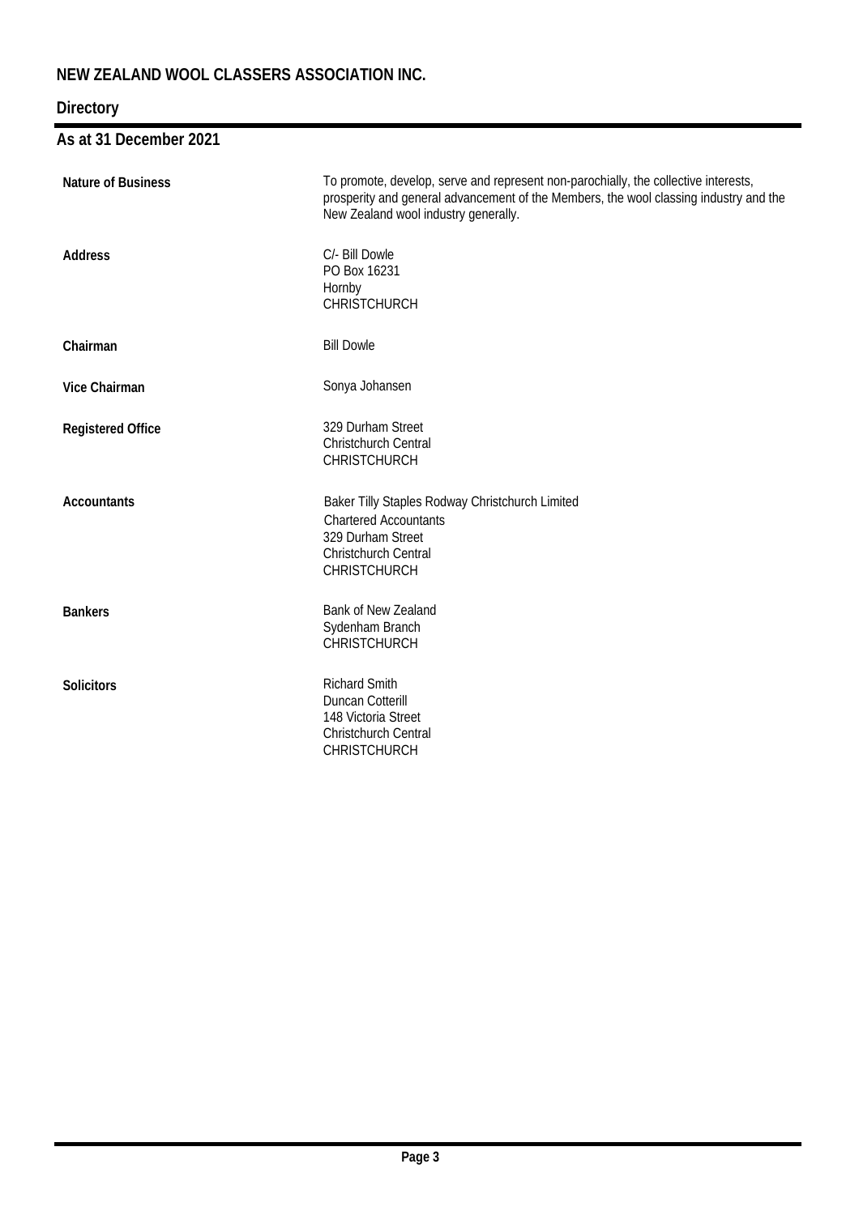# **Directory**

# **As at 31 December 2021**

| <b>Nature of Business</b> | To promote, develop, serve and represent non-parochially, the collective interests,<br>prosperity and general advancement of the Members, the wool classing industry and the<br>New Zealand wool industry generally. |
|---------------------------|----------------------------------------------------------------------------------------------------------------------------------------------------------------------------------------------------------------------|
| <b>Address</b>            | C/- Bill Dowle<br>PO Box 16231<br>Hornby<br><b>CHRISTCHURCH</b>                                                                                                                                                      |
| Chairman                  | <b>Bill Dowle</b>                                                                                                                                                                                                    |
| <b>Vice Chairman</b>      | Sonya Johansen                                                                                                                                                                                                       |
| <b>Registered Office</b>  | 329 Durham Street<br>Christchurch Central<br><b>CHRISTCHURCH</b>                                                                                                                                                     |
| <b>Accountants</b>        | Baker Tilly Staples Rodway Christchurch Limited<br><b>Chartered Accountants</b><br>329 Durham Street<br>Christchurch Central<br><b>CHRISTCHURCH</b>                                                                  |
| <b>Bankers</b>            | Bank of New Zealand<br>Sydenham Branch<br><b>CHRISTCHURCH</b>                                                                                                                                                        |
| <b>Solicitors</b>         | <b>Richard Smith</b><br><b>Duncan Cotterill</b><br>148 Victoria Street<br><b>Christchurch Central</b><br><b>CHRISTCHURCH</b>                                                                                         |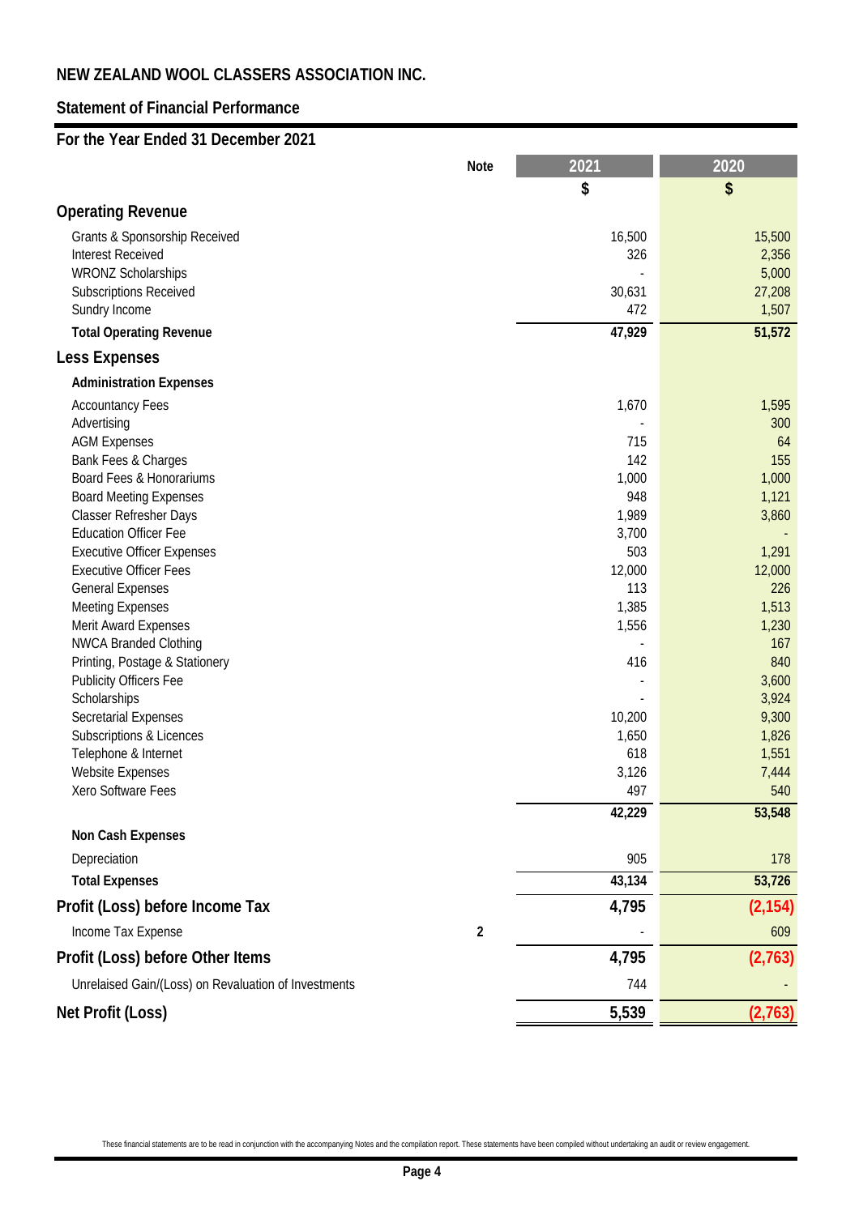## **Statement of Financial Performance**

### **For the Year Ended 31 December 2021**

|                                                      | <b>Note</b>      | 2021                     | 2020           |
|------------------------------------------------------|------------------|--------------------------|----------------|
|                                                      |                  | \$                       | \$             |
| <b>Operating Revenue</b>                             |                  |                          |                |
| <b>Grants &amp; Sponsorship Received</b>             |                  | 16,500                   | 15,500         |
| <b>Interest Received</b>                             |                  | 326                      | 2,356          |
| <b>WRONZ Scholarships</b>                            |                  |                          | 5,000          |
| <b>Subscriptions Received</b>                        |                  | 30,631                   | 27,208         |
| Sundry Income                                        |                  | 472                      | 1,507          |
| <b>Total Operating Revenue</b>                       |                  | 47,929                   | 51,572         |
| <b>Less Expenses</b>                                 |                  |                          |                |
| <b>Administration Expenses</b>                       |                  |                          |                |
| <b>Accountancy Fees</b>                              |                  | 1,670                    | 1,595          |
| Advertising                                          |                  |                          | 300            |
| <b>AGM Expenses</b>                                  |                  | 715                      | 64             |
| Bank Fees & Charges<br>Board Fees & Honorariums      |                  | 142<br>1,000             | 155<br>1,000   |
| <b>Board Meeting Expenses</b>                        |                  | 948                      | 1,121          |
| <b>Classer Refresher Days</b>                        |                  | 1,989                    | 3,860          |
| <b>Education Officer Fee</b>                         |                  | 3,700                    |                |
| <b>Executive Officer Expenses</b>                    |                  | 503                      | 1,291          |
| <b>Executive Officer Fees</b>                        |                  | 12,000                   | 12,000         |
| <b>General Expenses</b>                              |                  | 113                      | 226            |
| <b>Meeting Expenses</b>                              |                  | 1,385                    | 1,513          |
| <b>Merit Award Expenses</b>                          |                  | 1,556                    | 1,230          |
| <b>NWCA Branded Clothing</b>                         |                  | $\overline{\phantom{a}}$ | 167            |
| Printing, Postage & Stationery                       |                  | 416                      | 840            |
| <b>Publicity Officers Fee</b>                        |                  |                          | 3,600          |
| Scholarships<br><b>Secretarial Expenses</b>          |                  | 10,200                   | 3,924<br>9,300 |
| Subscriptions & Licences                             |                  | 1,650                    | 1,826          |
| Telephone & Internet                                 |                  | 618                      | 1,551          |
| <b>Website Expenses</b>                              |                  | 3,126                    | 7,444          |
| Xero Software Fees                                   |                  | 497                      | 540            |
|                                                      |                  | 42,229                   | 53,548         |
| <b>Non Cash Expenses</b>                             |                  |                          |                |
| Depreciation                                         |                  | 905                      | 178            |
| <b>Total Expenses</b>                                |                  | 43,134                   | 53,726         |
| Profit (Loss) before Income Tax                      |                  | 4,795                    | (2, 154)       |
| Income Tax Expense                                   | $\boldsymbol{2}$ |                          | 609            |
| Profit (Loss) before Other Items                     |                  | 4,795                    | (2,763)        |
| Unrelaised Gain/(Loss) on Revaluation of Investments |                  | 744                      |                |
| <b>Net Profit (Loss)</b>                             |                  | 5,539                    | (2,763)        |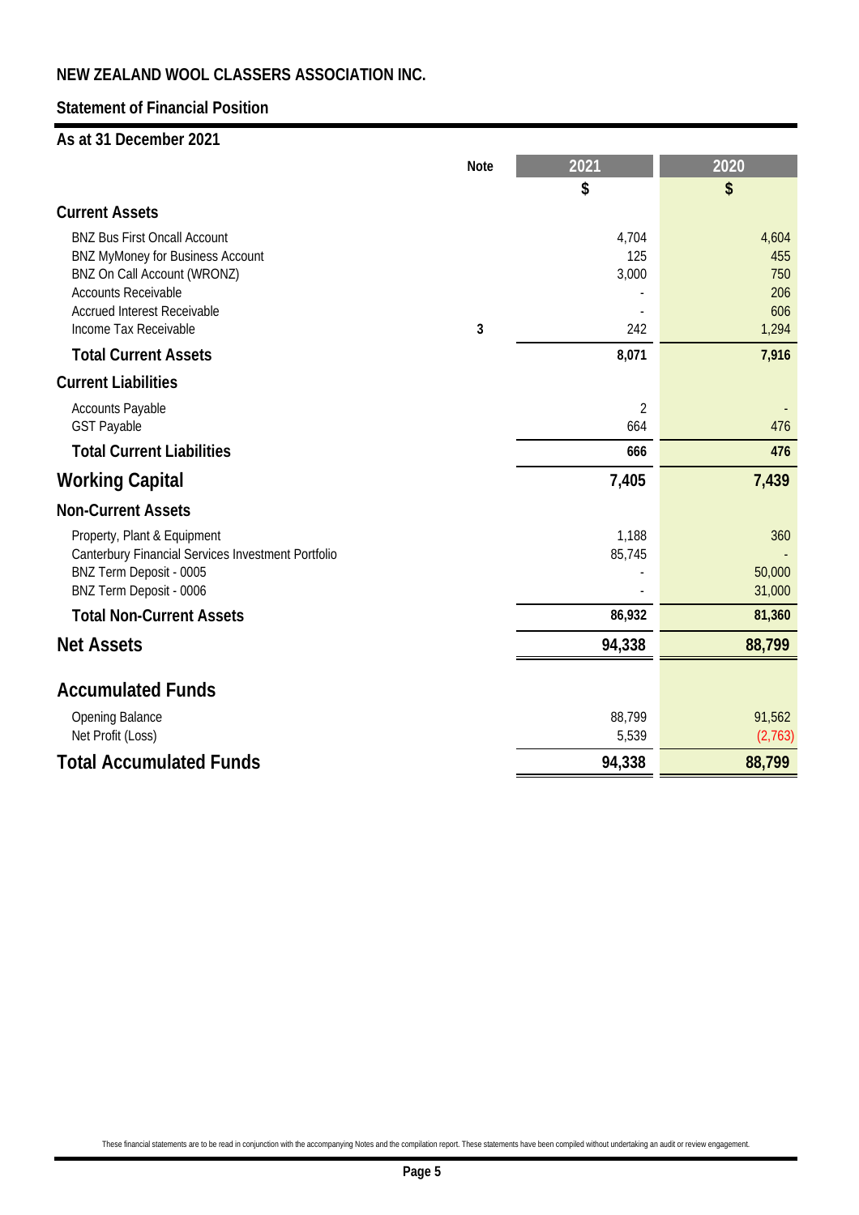## **Statement of Financial Position**

### **As at 31 December 2021**

|                                                           | <b>Note</b> | 2021           | 2020             |
|-----------------------------------------------------------|-------------|----------------|------------------|
|                                                           |             | \$             | \$               |
| <b>Current Assets</b>                                     |             |                |                  |
| <b>BNZ Bus First Oncall Account</b>                       |             | 4,704          | 4,604            |
| <b>BNZ MyMoney for Business Account</b>                   |             | 125            | 455<br>750       |
| BNZ On Call Account (WRONZ)<br><b>Accounts Receivable</b> |             | 3,000          | 206              |
| <b>Accrued Interest Receivable</b>                        |             |                | 606              |
| Income Tax Receivable                                     | 3           | 242            | 1,294            |
| <b>Total Current Assets</b>                               |             | 8,071          | 7,916            |
| <b>Current Liabilities</b>                                |             |                |                  |
| <b>Accounts Payable</b>                                   |             | $\overline{2}$ |                  |
| <b>GST Payable</b>                                        |             | 664            | 476              |
| <b>Total Current Liabilities</b>                          |             | 666            | 476              |
| <b>Working Capital</b>                                    |             | 7,405          | 7,439            |
| <b>Non-Current Assets</b>                                 |             |                |                  |
| Property, Plant & Equipment                               |             | 1,188          | 360              |
| <b>Canterbury Financial Services Investment Portfolio</b> |             | 85,745         |                  |
| BNZ Term Deposit - 0005<br>BNZ Term Deposit - 0006        |             |                | 50,000<br>31,000 |
| <b>Total Non-Current Assets</b>                           |             | 86,932         | 81,360           |
|                                                           |             |                |                  |
| <b>Net Assets</b>                                         |             | 94,338         | 88,799           |
| <b>Accumulated Funds</b>                                  |             |                |                  |
| <b>Opening Balance</b>                                    |             | 88,799         | 91,562           |
| Net Profit (Loss)                                         |             | 5,539          | (2,763)          |
| <b>Total Accumulated Funds</b>                            |             | 94,338         | 88,799           |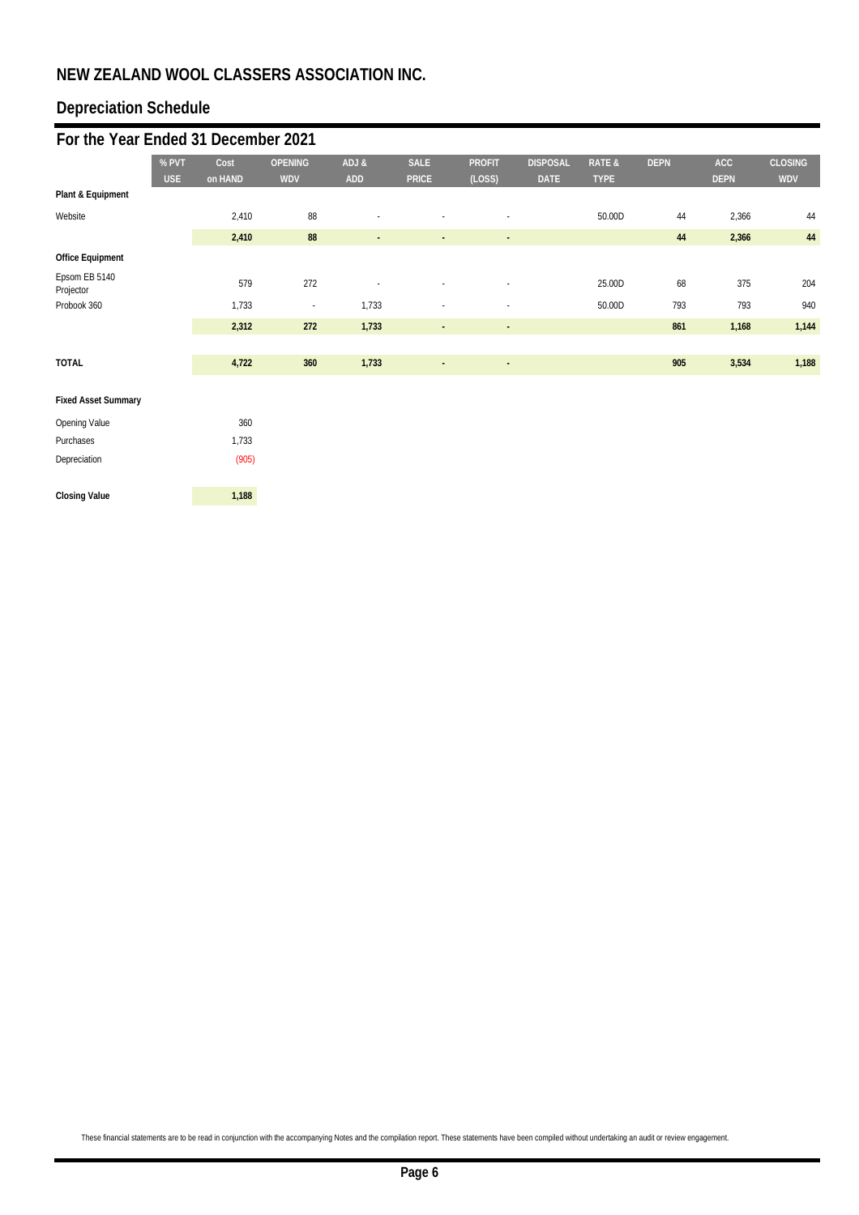# **Depreciation Schedule**

| For the Year Ended 31 December 2021 |            |         |                          |                          |                |                          |                 |                   |             |             |                |
|-------------------------------------|------------|---------|--------------------------|--------------------------|----------------|--------------------------|-----------------|-------------------|-------------|-------------|----------------|
|                                     | % PVT      | Cost    | <b>OPENING</b>           | ADJ &                    | <b>SALE</b>    | <b>PROFIT</b>            | <b>DISPOSAL</b> | <b>RATE &amp;</b> | <b>DEPN</b> | <b>ACC</b>  | <b>CLOSING</b> |
|                                     | <b>USE</b> | on HAND | <b>WDV</b>               | <b>ADD</b>               | <b>PRICE</b>   | (LOSS)                   | <b>DATE</b>     | <b>TYPE</b>       |             | <b>DEPN</b> | <b>WDV</b>     |
| Plant & Equipment                   |            |         |                          |                          |                |                          |                 |                   |             |             |                |
| Website                             |            | 2,410   | 88                       |                          |                | $\overline{\phantom{a}}$ |                 | 50.00D            | 44          | 2,366       | 44             |
|                                     |            | 2,410   | 88                       | $\overline{\phantom{a}}$ | ٠              | ٠.                       |                 |                   | 44          | 2,366       | $44\,$         |
| <b>Office Equipment</b>             |            |         |                          |                          |                |                          |                 |                   |             |             |                |
| Epsom EB 5140<br>Projector          |            | 579     | 272                      |                          |                | ٠                        |                 | 25.00D            | 68          | 375         | 204            |
| Probook 360                         |            | 1,733   | $\overline{\phantom{a}}$ | 1,733                    |                | ٠                        |                 | 50.00D            | 793         | 793         | 940            |
|                                     |            | 2,312   | 272                      | 1,733                    | $\blacksquare$ | $\sim$                   |                 |                   | 861         | 1,168       | 1,144          |
|                                     |            |         |                          |                          |                |                          |                 |                   |             |             |                |
| <b>TOTAL</b>                        |            | 4,722   | 360                      | 1,733                    | ٠              | $\overline{\phantom{a}}$ |                 |                   | 905         | 3,534       | 1,188          |
| <b>Fixed Asset Summary</b>          |            |         |                          |                          |                |                          |                 |                   |             |             |                |
| <b>Opening Value</b>                |            | 360     |                          |                          |                |                          |                 |                   |             |             |                |
| Purchases                           |            | 1,733   |                          |                          |                |                          |                 |                   |             |             |                |
| Depreciation                        |            | (905)   |                          |                          |                |                          |                 |                   |             |             |                |
| <b>Closing Value</b>                |            | 1,188   |                          |                          |                |                          |                 |                   |             |             |                |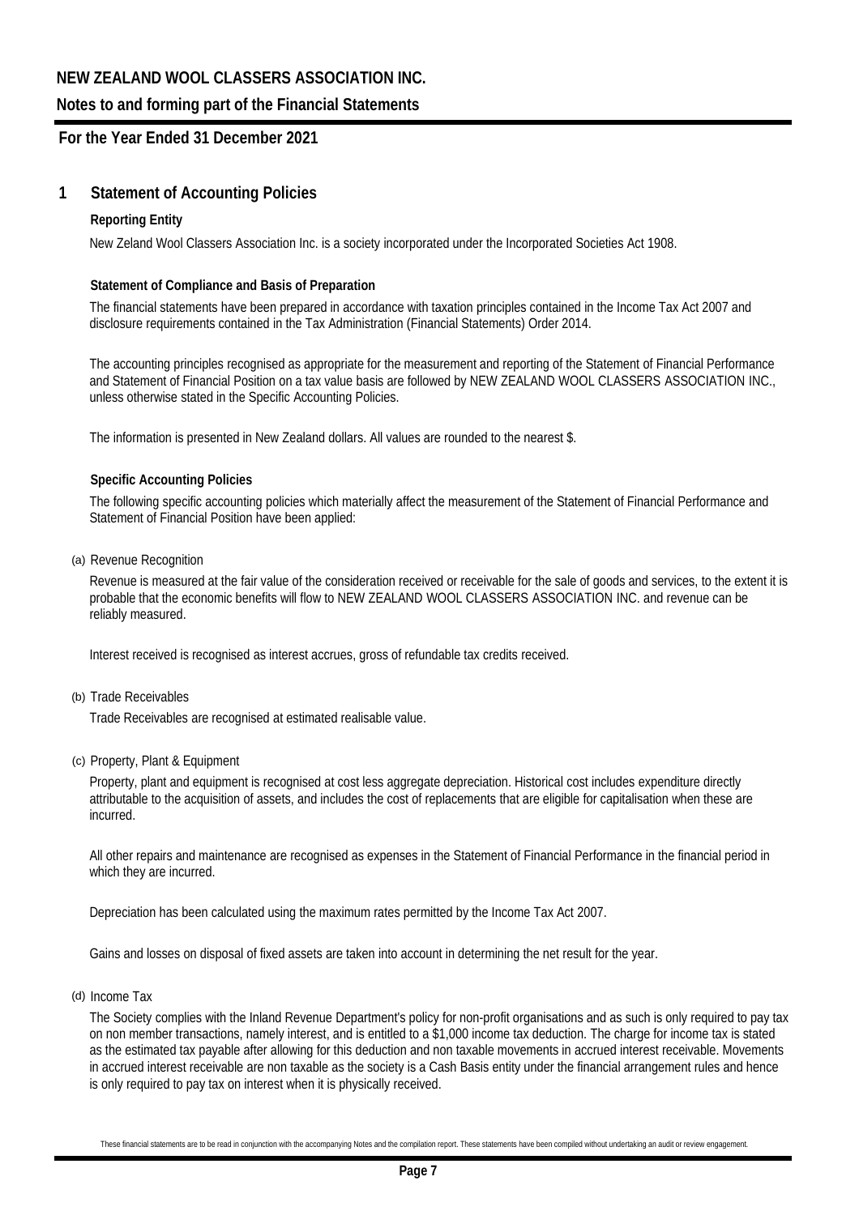### **Notes to and forming part of the Financial Statements**

### **For the Year Ended 31 December 2021**

### **1 Statement of Accounting Policies**

#### **Reporting Entity**

New Zeland Wool Classers Association Inc. is a society incorporated under the Incorporated Societies Act 1908.

#### **Statement of Compliance and Basis of Preparation**

The financial statements have been prepared in accordance with taxation principles contained in the Income Tax Act 2007 and disclosure requirements contained in the Tax Administration (Financial Statements) Order 2014.

The accounting principles recognised as appropriate for the measurement and reporting of the Statement of Financial Performance and Statement of Financial Position on a tax value basis are followed by NEW ZEALAND WOOL CLASSERS ASSOCIATION INC., unless otherwise stated in the Specific Accounting Policies.

The information is presented in New Zealand dollars. All values are rounded to the nearest \$.

#### **Specific Accounting Policies**

The following specific accounting policies which materially affect the measurement of the Statement of Financial Performance and Statement of Financial Position have been applied:

(a) Revenue Recognition

Revenue is measured at the fair value of the consideration received or receivable for the sale of goods and services, to the extent it is probable that the economic benefits will flow to NEW ZEALAND WOOL CLASSERS ASSOCIATION INC. and revenue can be reliably measured.

Interest received is recognised as interest accrues, gross of refundable tax credits received.

(b) Trade Receivables

Trade Receivables are recognised at estimated realisable value.

(c) Property, Plant & Equipment

Property, plant and equipment is recognised at cost less aggregate depreciation. Historical cost includes expenditure directly attributable to the acquisition of assets, and includes the cost of replacements that are eligible for capitalisation when these are incurred.

All other repairs and maintenance are recognised as expenses in the Statement of Financial Performance in the financial period in which they are incurred.

Depreciation has been calculated using the maximum rates permitted by the Income Tax Act 2007.

Gains and losses on disposal of fixed assets are taken into account in determining the net result for the year.

(d) Income Tax

The Society complies with the Inland Revenue Department's policy for non-profit organisations and as such is only required to pay tax on non member transactions, namely interest, and is entitled to a \$1,000 income tax deduction. The charge for income tax is stated as the estimated tax payable after allowing for this deduction and non taxable movements in accrued interest receivable. Movements in accrued interest receivable are non taxable as the society is a Cash Basis entity under the financial arrangement rules and hence is only required to pay tax on interest when it is physically received.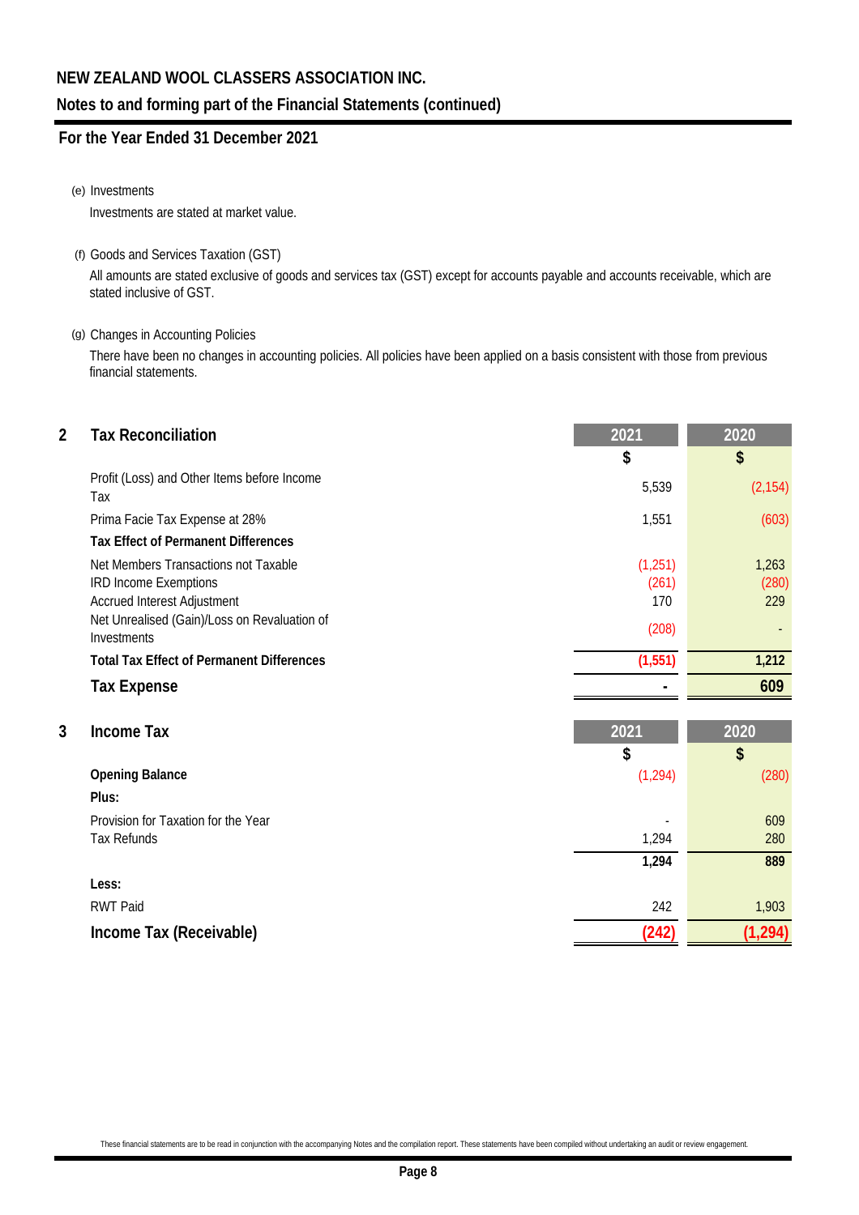### **Notes to and forming part of the Financial Statements (continued)**

## **For the Year Ended 31 December 2021**

#### (e) Investments

Investments are stated at market value.

(f) Goods and Services Taxation (GST)

All amounts are stated exclusive of goods and services tax (GST) except for accounts payable and accounts receivable, which are stated inclusive of GST.

### (g) Changes in Accounting Policies

There have been no changes in accounting policies. All policies have been applied on a basis consistent with those from previous financial statements.

| \$<br>Profit (Loss) and Other Items before Income                                                                                                                                                              | \$<br>(2, 154)        |
|----------------------------------------------------------------------------------------------------------------------------------------------------------------------------------------------------------------|-----------------------|
|                                                                                                                                                                                                                |                       |
| 5,539<br>Tax                                                                                                                                                                                                   |                       |
| Prima Facie Tax Expense at 28%<br>1,551                                                                                                                                                                        | (603)                 |
| <b>Tax Effect of Permanent Differences</b>                                                                                                                                                                     |                       |
| Net Members Transactions not Taxable<br>(1, 251)<br><b>IRD Income Exemptions</b><br>(261)<br><b>Accrued Interest Adjustment</b><br>170<br>Net Unrealised (Gain)/Loss on Revaluation of<br>(208)<br>Investments | 1,263<br>(280)<br>229 |
| (1, 551)<br><b>Total Tax Effect of Permanent Differences</b>                                                                                                                                                   | 1,212                 |
| <b>Tax Expense</b>                                                                                                                                                                                             | 609                   |
| 3<br><b>Income Tax</b><br>2021<br>\$                                                                                                                                                                           | 2020<br>\$            |
| (1, 294)<br><b>Opening Balance</b>                                                                                                                                                                             | (280)                 |
| Plus:                                                                                                                                                                                                          |                       |
| Provision for Taxation for the Year<br>1,294<br><b>Tax Refunds</b>                                                                                                                                             | 609<br>280            |
| 1,294                                                                                                                                                                                                          | 889                   |
| Less:                                                                                                                                                                                                          |                       |
| <b>RWT Paid</b><br>242                                                                                                                                                                                         | 1,903                 |
| (242)<br>Income Tax (Receivable)                                                                                                                                                                               | (1, 294)              |